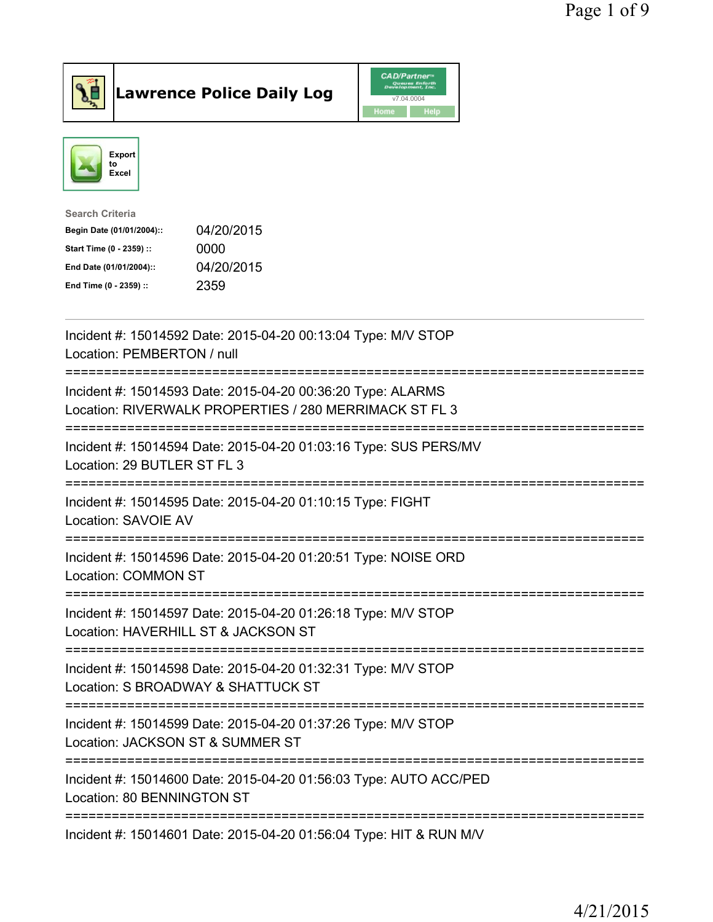



| <b>Search Criteria</b>    |            |
|---------------------------|------------|
| Begin Date (01/01/2004):: | 04/20/2015 |
| Start Time (0 - 2359) ::  | 0000       |
| End Date (01/01/2004)::   | 04/20/2015 |
| End Time (0 - 2359) ::    | 2359       |
|                           |            |

| Incident #: 15014592 Date: 2015-04-20 00:13:04 Type: M/V STOP<br>Location: PEMBERTON / null                           |
|-----------------------------------------------------------------------------------------------------------------------|
| Incident #: 15014593 Date: 2015-04-20 00:36:20 Type: ALARMS<br>Location: RIVERWALK PROPERTIES / 280 MERRIMACK ST FL 3 |
| Incident #: 15014594 Date: 2015-04-20 01:03:16 Type: SUS PERS/MV<br>Location: 29 BUTLER ST FL 3                       |
| Incident #: 15014595 Date: 2015-04-20 01:10:15 Type: FIGHT<br>Location: SAVOIE AV                                     |
| Incident #: 15014596 Date: 2015-04-20 01:20:51 Type: NOISE ORD<br><b>Location: COMMON ST</b>                          |
| Incident #: 15014597 Date: 2015-04-20 01:26:18 Type: M/V STOP<br>Location: HAVERHILL ST & JACKSON ST                  |
| Incident #: 15014598 Date: 2015-04-20 01:32:31 Type: M/V STOP<br>Location: S BROADWAY & SHATTUCK ST                   |
| Incident #: 15014599 Date: 2015-04-20 01:37:26 Type: M/V STOP<br>Location: JACKSON ST & SUMMER ST                     |
| Incident #: 15014600 Date: 2015-04-20 01:56:03 Type: AUTO ACC/PED<br>Location: 80 BENNINGTON ST                       |
| Incident #: 15014601 Date: 2015-04-20 01:56:04 Type: HIT & RUN M/V                                                    |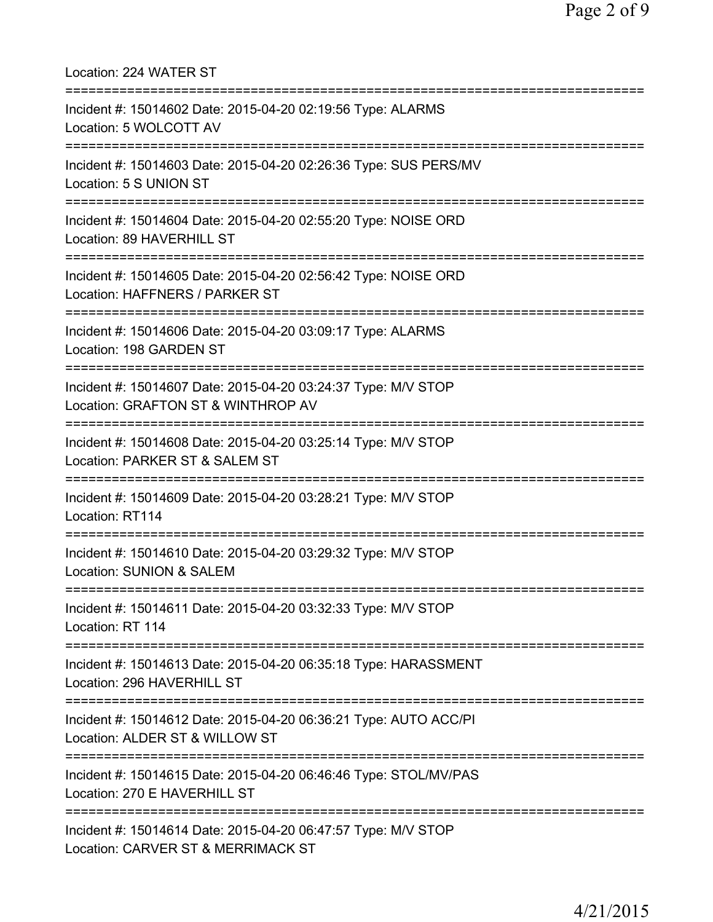| Location: 224 WATER ST                                                                                                          |
|---------------------------------------------------------------------------------------------------------------------------------|
| Incident #: 15014602 Date: 2015-04-20 02:19:56 Type: ALARMS<br>Location: 5 WOLCOTT AV<br>================================       |
| Incident #: 15014603 Date: 2015-04-20 02:26:36 Type: SUS PERS/MV<br>Location: 5 S UNION ST<br>================================  |
| Incident #: 15014604 Date: 2015-04-20 02:55:20 Type: NOISE ORD<br>Location: 89 HAVERHILL ST<br>;=============================== |
| Incident #: 15014605 Date: 2015-04-20 02:56:42 Type: NOISE ORD<br>Location: HAFFNERS / PARKER ST                                |
| Incident #: 15014606 Date: 2015-04-20 03:09:17 Type: ALARMS<br>Location: 198 GARDEN ST                                          |
| Incident #: 15014607 Date: 2015-04-20 03:24:37 Type: M/V STOP<br>Location: GRAFTON ST & WINTHROP AV                             |
| Incident #: 15014608 Date: 2015-04-20 03:25:14 Type: M/V STOP<br>Location: PARKER ST & SALEM ST<br>:=======================     |
| Incident #: 15014609 Date: 2015-04-20 03:28:21 Type: M/V STOP<br>Location: RT114                                                |
| :========================<br>Incident #: 15014610 Date: 2015-04-20 03:29:32 Type: M/V STOP<br>Location: SUNION & SALEM          |
| Incident #: 15014611 Date: 2015-04-20 03:32:33 Type: M/V STOP<br>Location: RT 114                                               |
| ================<br>Incident #: 15014613 Date: 2015-04-20 06:35:18 Type: HARASSMENT<br>Location: 296 HAVERHILL ST               |
| Incident #: 15014612 Date: 2015-04-20 06:36:21 Type: AUTO ACC/PI<br>Location: ALDER ST & WILLOW ST                              |
| Incident #: 15014615 Date: 2015-04-20 06:46:46 Type: STOL/MV/PAS<br>Location: 270 E HAVERHILL ST                                |
| Incident #: 15014614 Date: 2015-04-20 06:47:57 Type: M/V STOP<br>Location: CARVER ST & MERRIMACK ST                             |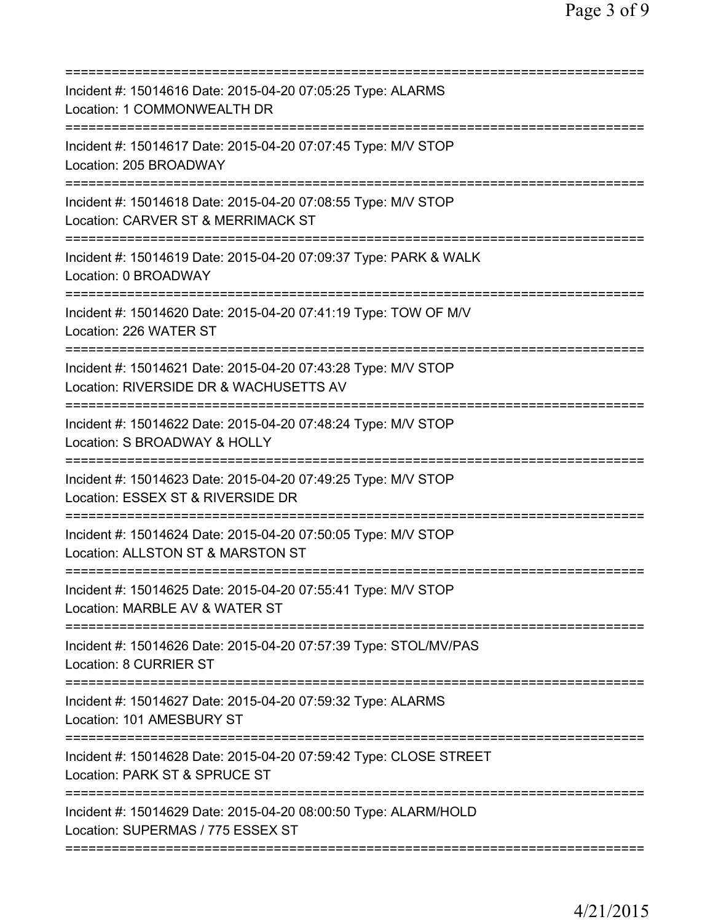| Incident #: 15014616 Date: 2015-04-20 07:05:25 Type: ALARMS<br>Location: 1 COMMONWEALTH DR                                                |
|-------------------------------------------------------------------------------------------------------------------------------------------|
| Incident #: 15014617 Date: 2015-04-20 07:07:45 Type: M/V STOP<br>Location: 205 BROADWAY                                                   |
| Incident #: 15014618 Date: 2015-04-20 07:08:55 Type: M/V STOP<br>Location: CARVER ST & MERRIMACK ST                                       |
| ====================<br>Incident #: 15014619 Date: 2015-04-20 07:09:37 Type: PARK & WALK<br>Location: 0 BROADWAY                          |
| Incident #: 15014620 Date: 2015-04-20 07:41:19 Type: TOW OF M/V<br>Location: 226 WATER ST                                                 |
| Incident #: 15014621 Date: 2015-04-20 07:43:28 Type: M/V STOP<br>Location: RIVERSIDE DR & WACHUSETTS AV<br>============================== |
| Incident #: 15014622 Date: 2015-04-20 07:48:24 Type: M/V STOP<br>Location: S BROADWAY & HOLLY                                             |
| ========================<br>Incident #: 15014623 Date: 2015-04-20 07:49:25 Type: M/V STOP<br>Location: ESSEX ST & RIVERSIDE DR            |
| Incident #: 15014624 Date: 2015-04-20 07:50:05 Type: M/V STOP<br>Location: ALLSTON ST & MARSTON ST                                        |
| Incident #: 15014625 Date: 2015-04-20 07:55:41 Type: M/V STOP<br>Location: MARBLE AV & WATER ST                                           |
| Incident #: 15014626 Date: 2015-04-20 07:57:39 Type: STOL/MV/PAS<br><b>Location: 8 CURRIER ST</b>                                         |
| Incident #: 15014627 Date: 2015-04-20 07:59:32 Type: ALARMS<br>Location: 101 AMESBURY ST                                                  |
| Incident #: 15014628 Date: 2015-04-20 07:59:42 Type: CLOSE STREET<br>Location: PARK ST & SPRUCE ST                                        |
| Incident #: 15014629 Date: 2015-04-20 08:00:50 Type: ALARM/HOLD<br>Location: SUPERMAS / 775 ESSEX ST                                      |
|                                                                                                                                           |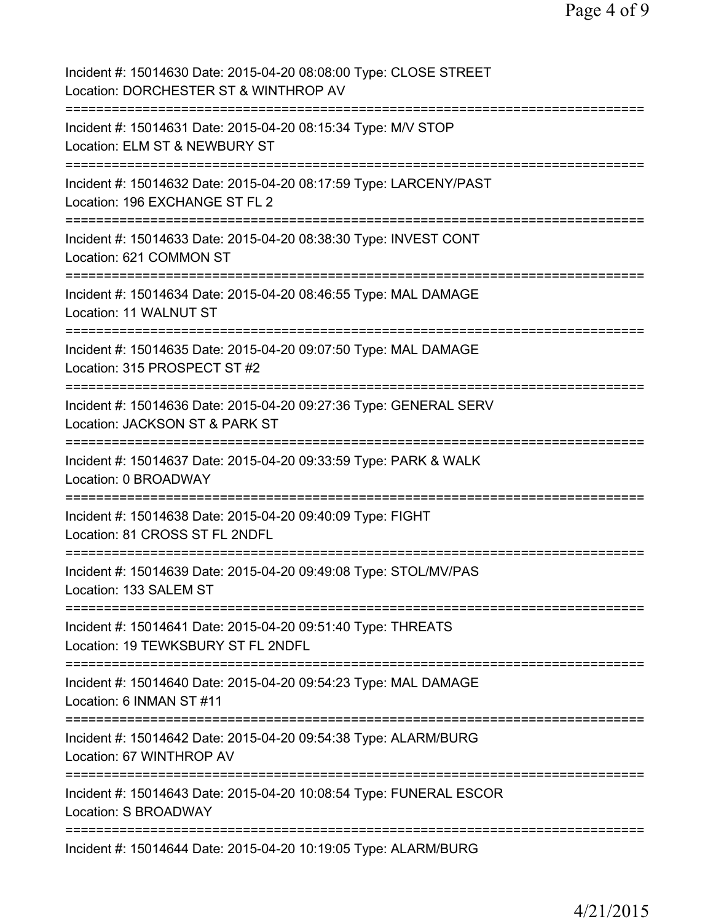| Incident #: 15014630 Date: 2015-04-20 08:08:00 Type: CLOSE STREET<br>Location: DORCHESTER ST & WINTHROP AV                           |
|--------------------------------------------------------------------------------------------------------------------------------------|
| Incident #: 15014631 Date: 2015-04-20 08:15:34 Type: M/V STOP<br>Location: ELM ST & NEWBURY ST                                       |
| Incident #: 15014632 Date: 2015-04-20 08:17:59 Type: LARCENY/PAST<br>Location: 196 EXCHANGE ST FL 2                                  |
| Incident #: 15014633 Date: 2015-04-20 08:38:30 Type: INVEST CONT<br>Location: 621 COMMON ST<br>====================================  |
| Incident #: 15014634 Date: 2015-04-20 08:46:55 Type: MAL DAMAGE<br>Location: 11 WALNUT ST<br>================================        |
| Incident #: 15014635 Date: 2015-04-20 09:07:50 Type: MAL DAMAGE<br>Location: 315 PROSPECT ST #2<br>:==============                   |
| Incident #: 15014636 Date: 2015-04-20 09:27:36 Type: GENERAL SERV<br>Location: JACKSON ST & PARK ST                                  |
| Incident #: 15014637 Date: 2015-04-20 09:33:59 Type: PARK & WALK<br>Location: 0 BROADWAY                                             |
| Incident #: 15014638 Date: 2015-04-20 09:40:09 Type: FIGHT<br>Location: 81 CROSS ST FL 2NDFL                                         |
| Incident #: 15014639 Date: 2015-04-20 09:49:08 Type: STOL/MV/PAS<br>Location: 133 SALEM ST                                           |
| Incident #: 15014641 Date: 2015-04-20 09:51:40 Type: THREATS<br>Location: 19 TEWKSBURY ST FL 2NDFL                                   |
| Incident #: 15014640 Date: 2015-04-20 09:54:23 Type: MAL DAMAGE<br>Location: 6 INMAN ST #11<br>;==================================== |
| Incident #: 15014642 Date: 2015-04-20 09:54:38 Type: ALARM/BURG<br>Location: 67 WINTHROP AV                                          |
| ===================================<br>Incident #: 15014643 Date: 2015-04-20 10:08:54 Type: FUNERAL ESCOR<br>Location: S BROADWAY    |
| ====================================<br>Incident #: 15014644 Date: 2015-04-20 10:19:05 Type: ALARM/BURG                              |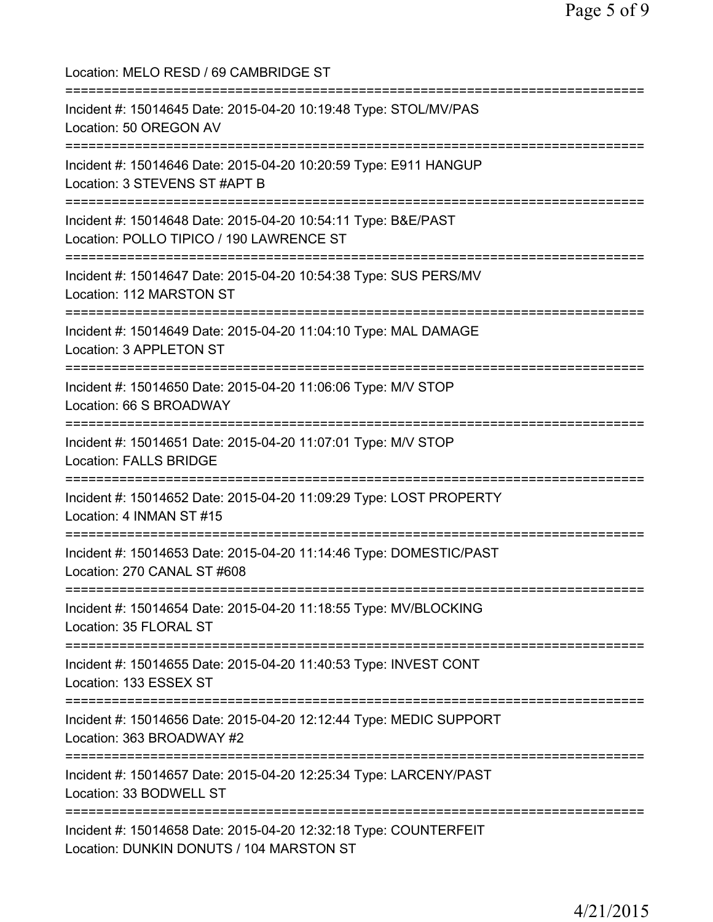Location: MELO RESD / 69 CAMBRIDGE ST =========================================================================== Incident #: 15014645 Date: 2015-04-20 10:19:48 Type: STOL/MV/PAS Location: 50 OREGON AV =========================================================================== Incident #: 15014646 Date: 2015-04-20 10:20:59 Type: E911 HANGUP Location: 3 STEVENS ST #APT B =========================================================================== Incident #: 15014648 Date: 2015-04-20 10:54:11 Type: B&E/PAST Location: POLLO TIPICO / 190 LAWRENCE ST =========================================================================== Incident #: 15014647 Date: 2015-04-20 10:54:38 Type: SUS PERS/MV Location: 112 MARSTON ST =========================================================================== Incident #: 15014649 Date: 2015-04-20 11:04:10 Type: MAL DAMAGE Location: 3 APPLETON ST =========================================================================== Incident #: 15014650 Date: 2015-04-20 11:06:06 Type: M/V STOP Location: 66 S BROADWAY =========================================================================== Incident #: 15014651 Date: 2015-04-20 11:07:01 Type: M/V STOP Location: FALLS BRIDGE =========================================================================== Incident #: 15014652 Date: 2015-04-20 11:09:29 Type: LOST PROPERTY Location: 4 INMAN ST #15 =========================================================================== Incident #: 15014653 Date: 2015-04-20 11:14:46 Type: DOMESTIC/PAST Location: 270 CANAL ST #608 =========================================================================== Incident #: 15014654 Date: 2015-04-20 11:18:55 Type: MV/BLOCKING Location: 35 FLORAL ST =========================================================================== Incident #: 15014655 Date: 2015-04-20 11:40:53 Type: INVEST CONT Location: 133 ESSEX ST =========================================================================== Incident #: 15014656 Date: 2015-04-20 12:12:44 Type: MEDIC SUPPORT Location: 363 BROADWAY #2 =========================================================================== Incident #: 15014657 Date: 2015-04-20 12:25:34 Type: LARCENY/PAST Location: 33 BODWELL ST =========================================================================== Incident #: 15014658 Date: 2015-04-20 12:32:18 Type: COUNTERFEIT Location: DUNKIN DONUTS / 104 MARSTON ST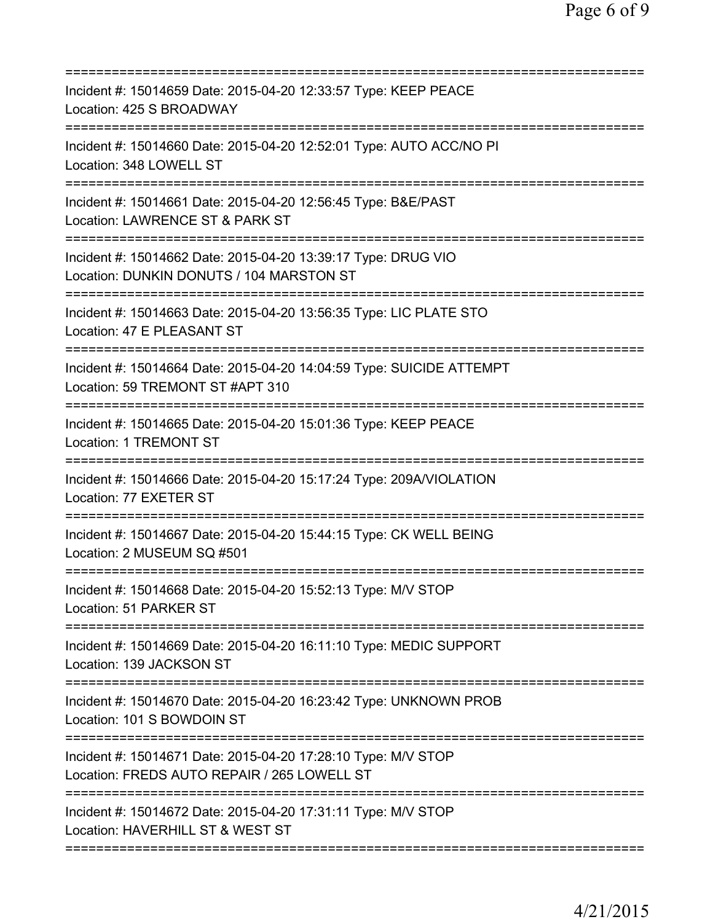| Incident #: 15014659 Date: 2015-04-20 12:33:57 Type: KEEP PEACE<br>Location: 425 S BROADWAY<br>=====================<br>:================ |
|-------------------------------------------------------------------------------------------------------------------------------------------|
| Incident #: 15014660 Date: 2015-04-20 12:52:01 Type: AUTO ACC/NO PI<br>Location: 348 LOWELL ST                                            |
| Incident #: 15014661 Date: 2015-04-20 12:56:45 Type: B&E/PAST<br>Location: LAWRENCE ST & PARK ST                                          |
| Incident #: 15014662 Date: 2015-04-20 13:39:17 Type: DRUG VIO<br>Location: DUNKIN DONUTS / 104 MARSTON ST<br>------------------------     |
| Incident #: 15014663 Date: 2015-04-20 13:56:35 Type: LIC PLATE STO<br>Location: 47 E PLEASANT ST                                          |
| Incident #: 15014664 Date: 2015-04-20 14:04:59 Type: SUICIDE ATTEMPT<br>Location: 59 TREMONT ST #APT 310                                  |
| Incident #: 15014665 Date: 2015-04-20 15:01:36 Type: KEEP PEACE<br>Location: 1 TREMONT ST                                                 |
| Incident #: 15014666 Date: 2015-04-20 15:17:24 Type: 209A/VIOLATION<br>Location: 77 EXETER ST<br>-----------------                        |
| Incident #: 15014667 Date: 2015-04-20 15:44:15 Type: CK WELL BEING<br>Location: 2 MUSEUM SQ #501                                          |
| Incident #: 15014668 Date: 2015-04-20 15:52:13 Type: M/V STOP<br>Location: 51 PARKER ST                                                   |
| Incident #: 15014669 Date: 2015-04-20 16:11:10 Type: MEDIC SUPPORT<br>Location: 139 JACKSON ST                                            |
| Incident #: 15014670 Date: 2015-04-20 16:23:42 Type: UNKNOWN PROB<br>Location: 101 S BOWDOIN ST                                           |
| Incident #: 15014671 Date: 2015-04-20 17:28:10 Type: M/V STOP<br>Location: FREDS AUTO REPAIR / 265 LOWELL ST                              |
| Incident #: 15014672 Date: 2015-04-20 17:31:11 Type: M/V STOP<br>Location: HAVERHILL ST & WEST ST                                         |
|                                                                                                                                           |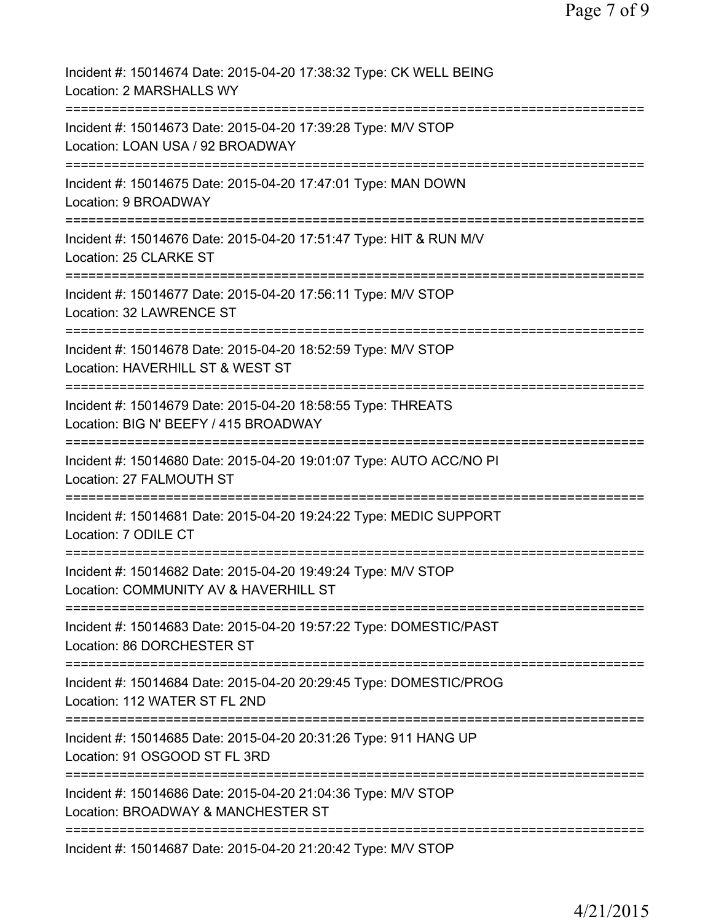| Incident #: 15014674 Date: 2015-04-20 17:38:32 Type: CK WELL BEING<br>Location: 2 MARSHALLS WY         |
|--------------------------------------------------------------------------------------------------------|
| Incident #: 15014673 Date: 2015-04-20 17:39:28 Type: M/V STOP<br>Location: LOAN USA / 92 BROADWAY      |
| Incident #: 15014675 Date: 2015-04-20 17:47:01 Type: MAN DOWN<br>Location: 9 BROADWAY                  |
| Incident #: 15014676 Date: 2015-04-20 17:51:47 Type: HIT & RUN M/V<br>Location: 25 CLARKE ST           |
| Incident #: 15014677 Date: 2015-04-20 17:56:11 Type: M/V STOP<br><b>Location: 32 LAWRENCE ST</b>       |
| Incident #: 15014678 Date: 2015-04-20 18:52:59 Type: M/V STOP<br>Location: HAVERHILL ST & WEST ST      |
| Incident #: 15014679 Date: 2015-04-20 18:58:55 Type: THREATS<br>Location: BIG N' BEEFY / 415 BROADWAY  |
| Incident #: 15014680 Date: 2015-04-20 19:01:07 Type: AUTO ACC/NO PI<br>Location: 27 FALMOUTH ST        |
| Incident #: 15014681 Date: 2015-04-20 19:24:22 Type: MEDIC SUPPORT<br>Location: 7 ODILE CT             |
| Incident #: 15014682 Date: 2015-04-20 19:49:24 Type: M/V STOP<br>Location: COMMUNITY AV & HAVERHILL ST |
| Incident #: 15014683 Date: 2015-04-20 19:57:22 Type: DOMESTIC/PAST<br>Location: 86 DORCHESTER ST       |
| Incident #: 15014684 Date: 2015-04-20 20:29:45 Type: DOMESTIC/PROG<br>Location: 112 WATER ST FL 2ND    |
| Incident #: 15014685 Date: 2015-04-20 20:31:26 Type: 911 HANG UP<br>Location: 91 OSGOOD ST FL 3RD      |
| Incident #: 15014686 Date: 2015-04-20 21:04:36 Type: M/V STOP<br>Location: BROADWAY & MANCHESTER ST    |
| Incident #: 15014687 Date: 2015-04-20 21:20:42 Type: M/V STOP                                          |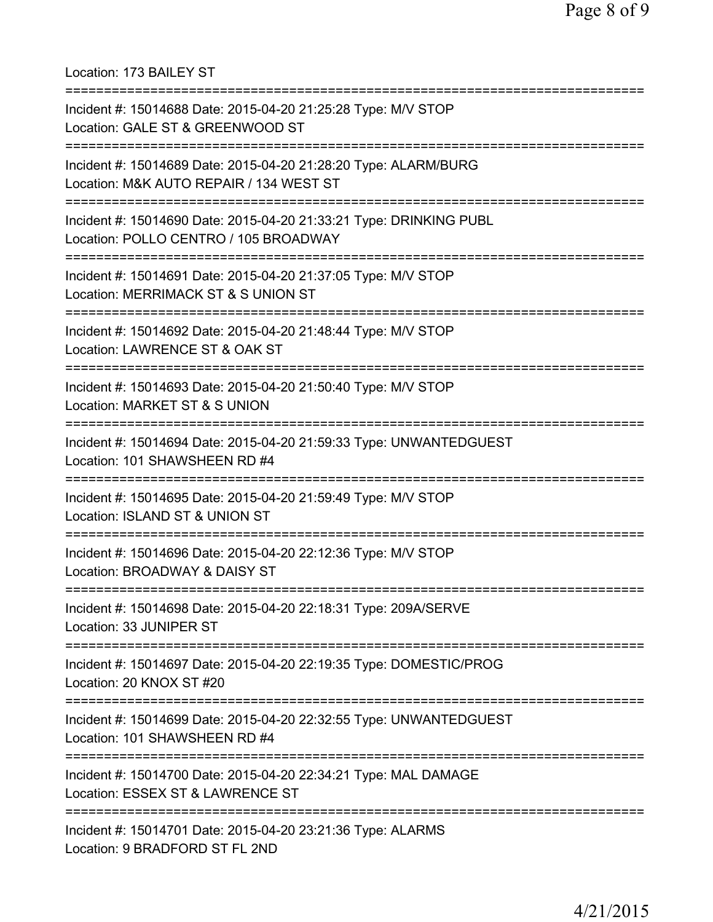Location: 173 BAILEY ST =========================================================================== Incident #: 15014688 Date: 2015-04-20 21:25:28 Type: M/V STOP Location: GALE ST & GREENWOOD ST =========================================================================== Incident #: 15014689 Date: 2015-04-20 21:28:20 Type: ALARM/BURG Location: M&K AUTO REPAIR / 134 WEST ST =========================================================================== Incident #: 15014690 Date: 2015-04-20 21:33:21 Type: DRINKING PUBL Location: POLLO CENTRO / 105 BROADWAY =========================================================================== Incident #: 15014691 Date: 2015-04-20 21:37:05 Type: M/V STOP Location: MERRIMACK ST & S UNION ST =========================================================================== Incident #: 15014692 Date: 2015-04-20 21:48:44 Type: M/V STOP Location: LAWRENCE ST & OAK ST =========================================================================== Incident #: 15014693 Date: 2015-04-20 21:50:40 Type: M/V STOP Location: MARKET ST & S UNION =========================================================================== Incident #: 15014694 Date: 2015-04-20 21:59:33 Type: UNWANTEDGUEST Location: 101 SHAWSHEEN RD #4 =========================================================================== Incident #: 15014695 Date: 2015-04-20 21:59:49 Type: M/V STOP Location: ISLAND ST & UNION ST =========================================================================== Incident #: 15014696 Date: 2015-04-20 22:12:36 Type: M/V STOP Location: BROADWAY & DAISY ST =========================================================================== Incident #: 15014698 Date: 2015-04-20 22:18:31 Type: 209A/SERVE Location: 33 JUNIPER ST =========================================================================== Incident #: 15014697 Date: 2015-04-20 22:19:35 Type: DOMESTIC/PROG Location: 20 KNOX ST #20 =========================================================================== Incident #: 15014699 Date: 2015-04-20 22:32:55 Type: UNWANTEDGUEST Location: 101 SHAWSHEEN RD #4 =========================================================================== Incident #: 15014700 Date: 2015-04-20 22:34:21 Type: MAL DAMAGE Location: ESSEX ST & LAWRENCE ST =========================================================================== Incident #: 15014701 Date: 2015-04-20 23:21:36 Type: ALARMS Location: 9 BRADFORD ST FL 2ND